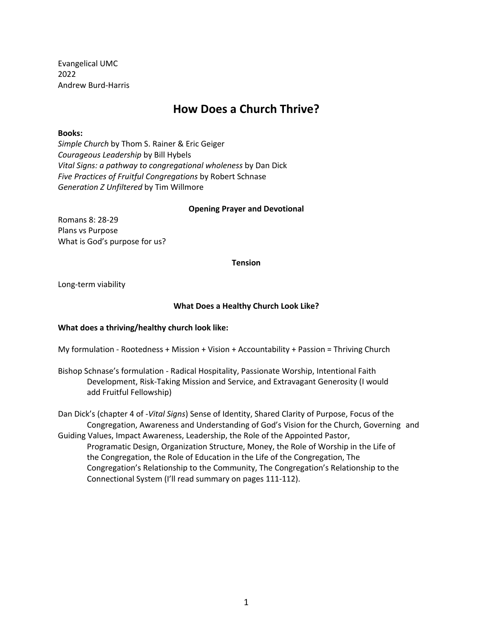Evangelical UMC 2022 Andrew Burd-Harris

# **How Does a Church Thrive?**

# **Books:**

*Simple Church* by Thom S. Rainer & Eric Geiger *Courageous Leadership* by Bill Hybels *Vital Signs: a pathway to congregational wholeness* by Dan Dick *Five Practices of Fruitful Congregations* by Robert Schnase *Generation Z Unfiltered* by Tim Willmore

#### **Opening Prayer and Devotional**

Romans 8: 28-29 Plans vs Purpose What is God's purpose for us?

**Tension**

Long-term viability

# **What Does a Healthy Church Look Like?**

# **What does a thriving/healthy church look like:**

My formulation - Rootedness + Mission + Vision + Accountability + Passion = Thriving Church

Bishop Schnase's formulation - Radical Hospitality, Passionate Worship, Intentional Faith Development, Risk-Taking Mission and Service, and Extravagant Generosity (I would add Fruitful Fellowship)

Dan Dick's (chapter 4 of -*Vital Signs*) Sense of Identity, Shared Clarity of Purpose, Focus of the Congregation, Awareness and Understanding of God's Vision for the Church, Governing and Guiding Values, Impact Awareness, Leadership, the Role of the Appointed Pastor, Programatic Design, Organization Structure, Money, the Role of Worship in the Life of the Congregation, the Role of Education in the Life of the Congregation, The Congregation's Relationship to the Community, The Congregation's Relationship to the Connectional System (I'll read summary on pages 111-112).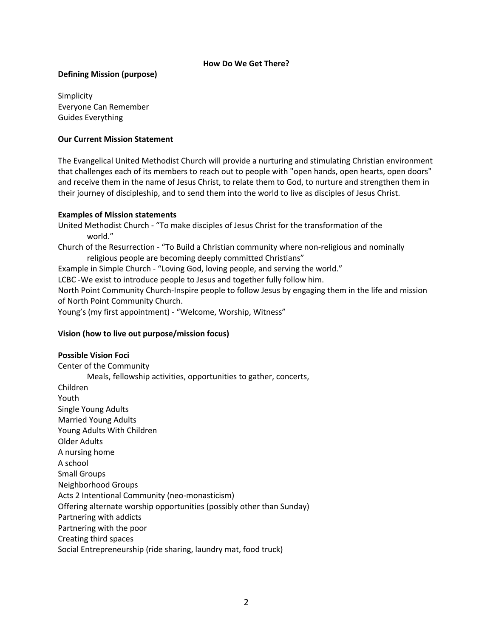### **How Do We Get There?**

# **Defining Mission (purpose)**

Simplicity Everyone Can Remember Guides Everything

# **Our Current Mission Statement**

The Evangelical United Methodist Church will provide a nurturing and stimulating Christian environment that challenges each of its members to reach out to people with "open hands, open hearts, open doors" and receive them in the name of Jesus Christ, to relate them to God, to nurture and strengthen them in their journey of discipleship, and to send them into the world to live as disciples of Jesus Christ.

# **Examples of Mission statements**

United Methodist Church - "To make disciples of Jesus Christ for the transformation of the world." Church of the Resurrection - "To Build a Christian community where non-religious and nominally religious people are becoming deeply committed Christians" Example in Simple Church - "Loving God, loving people, and serving the world." LCBC -We exist to introduce people to Jesus and together fully follow him. North Point Community Church-Inspire people to follow Jesus by engaging them in the life and mission of North Point Community Church. Young's (my first appointment) - "Welcome, Worship, Witness"

# **Vision (how to live out purpose/mission focus)**

# **Possible Vision Foci**

Center of the Community Meals, fellowship activities, opportunities to gather, concerts, Children Youth Single Young Adults Married Young Adults Young Adults With Children Older Adults A nursing home A school Small Groups Neighborhood Groups Acts 2 Intentional Community (neo-monasticism) Offering alternate worship opportunities (possibly other than Sunday) Partnering with addicts Partnering with the poor Creating third spaces Social Entrepreneurship (ride sharing, laundry mat, food truck)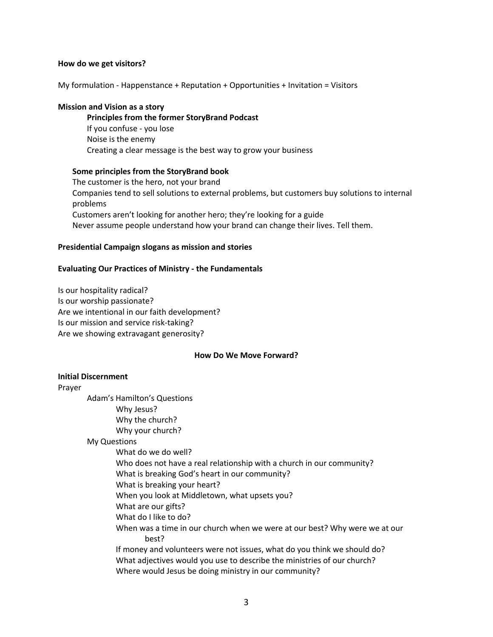#### **How do we get visitors?**

My formulation - Happenstance + Reputation + Opportunities + Invitation = Visitors

### **Mission and Vision as a story**

#### **Principles from the former StoryBrand Podcast**

If you confuse - you lose Noise is the enemy Creating a clear message is the best way to grow your business

# **Some principles from the StoryBrand book**

The customer is the hero, not your brand Companies tend to sell solutions to external problems, but customers buy solutions to internal problems Customers aren't looking for another hero; they're looking for a guide Never assume people understand how your brand can change their lives. Tell them.

# **Presidential Campaign slogans as mission and stories**

### **Evaluating Our Practices of Ministry - the Fundamentals**

Is our hospitality radical? Is our worship passionate? Are we intentional in our faith development? Is our mission and service risk-taking? Are we showing extravagant generosity?

#### **How Do We Move Forward?**

# **Initial Discernment**

Prayer

Adam's Hamilton's Questions Why Jesus? Why the church? Why your church? My Questions What do we do well? Who does not have a real relationship with a church in our community? What is breaking God's heart in our community? What is breaking your heart? When you look at Middletown, what upsets you? What are our gifts? What do I like to do? When was a time in our church when we were at our best? Why were we at our best? If money and volunteers were not issues, what do you think we should do? What adjectives would you use to describe the ministries of our church? Where would Jesus be doing ministry in our community?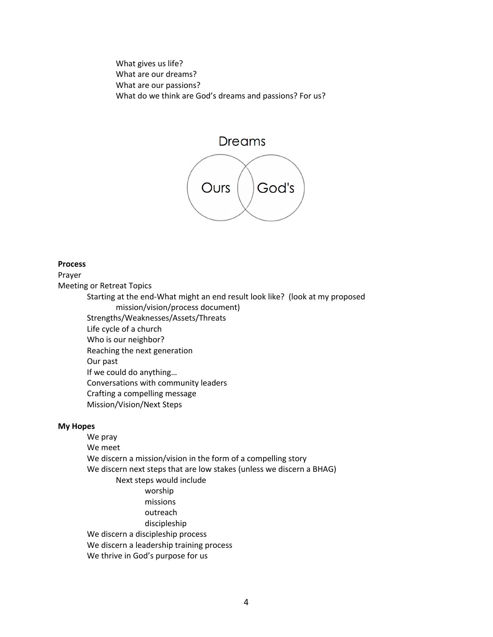What gives us life? What are our dreams? What are our passions? What do we think are God's dreams and passions? For us?

# Dreams



#### **Process**

Prayer

Meeting or Retreat Topics

Starting at the end-What might an end result look like? (look at my proposed mission/vision/process document) Strengths/Weaknesses/Assets/Threats

Life cycle of a church

Who is our neighbor?

Reaching the next generation

Our past

If we could do anything…

Conversations with community leaders

- Crafting a compelling message
- Mission/Vision/Next Steps

# **My Hopes**

We pray We meet We discern a mission/vision in the form of a compelling story We discern next steps that are low stakes (unless we discern a BHAG) Next steps would include worship missions outreach discipleship We discern a discipleship process We discern a leadership training process We thrive in God's purpose for us